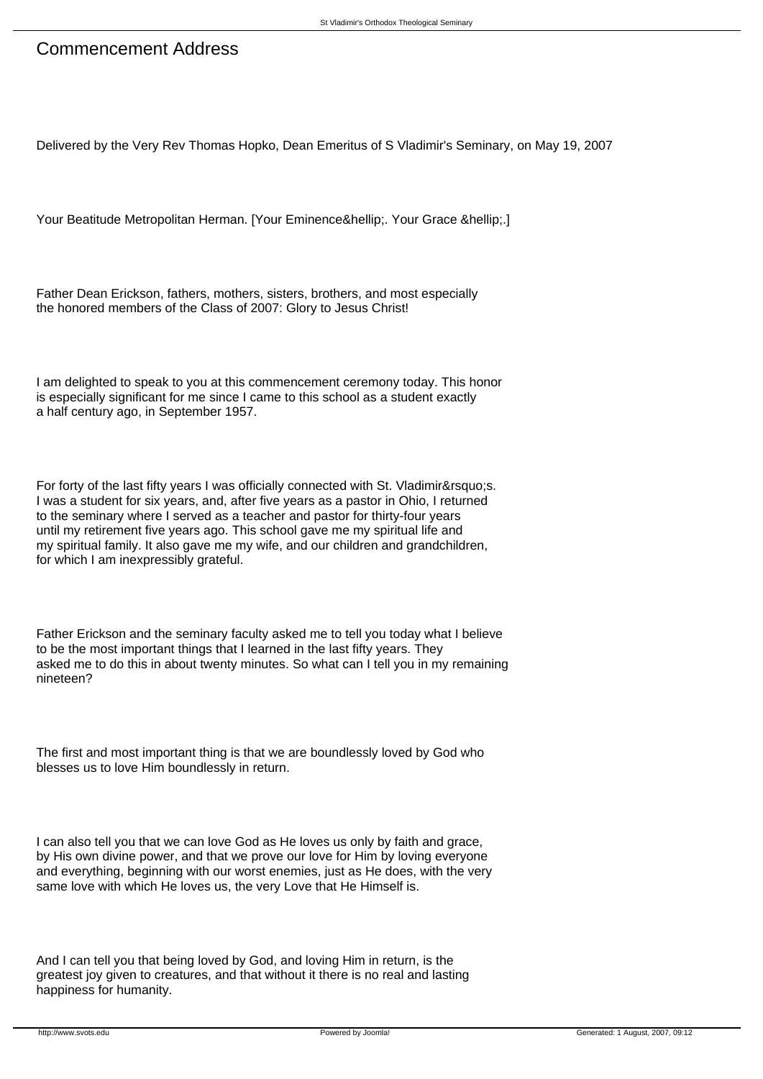## Commencement Address

Delivered by the Very Rev Thomas Hopko, Dean Emeritus of S Vladimir's Seminary, on May 19, 2007

Your Beatitude Metropolitan Herman. [Your Eminence&hellip:.] Your Grace &hellip:.]

Father Dean Erickson, fathers, mothers, sisters, brothers, and most especially the honored members of the Class of 2007: Glory to Jesus Christ!

I am delighted to speak to you at this commencement ceremony today. This honor is especially significant for me since I came to this school as a student exactly a half century ago, in September 1957.

For forty of the last fifty years I was officially connected with St. Vladimir's. I was a student for six years, and, after five years as a pastor in Ohio, I returned to the seminary where I served as a teacher and pastor for thirty-four years until my retirement five years ago. This school gave me my spiritual life and my spiritual family. It also gave me my wife, and our children and grandchildren, for which I am inexpressibly grateful.

Father Erickson and the seminary faculty asked me to tell you today what I believe to be the most important things that I learned in the last fifty years. They asked me to do this in about twenty minutes. So what can I tell you in my remaining nineteen?

The first and most important thing is that we are boundlessly loved by God who blesses us to love Him boundlessly in return.

I can also tell you that we can love God as He loves us only by faith and grace, by His own divine power, and that we prove our love for Him by loving everyone and everything, beginning with our worst enemies, just as He does, with the very same love with which He loves us, the very Love that He Himself is.

And I can tell you that being loved by God, and loving Him in return, is the greatest joy given to creatures, and that without it there is no real and lasting happiness for humanity.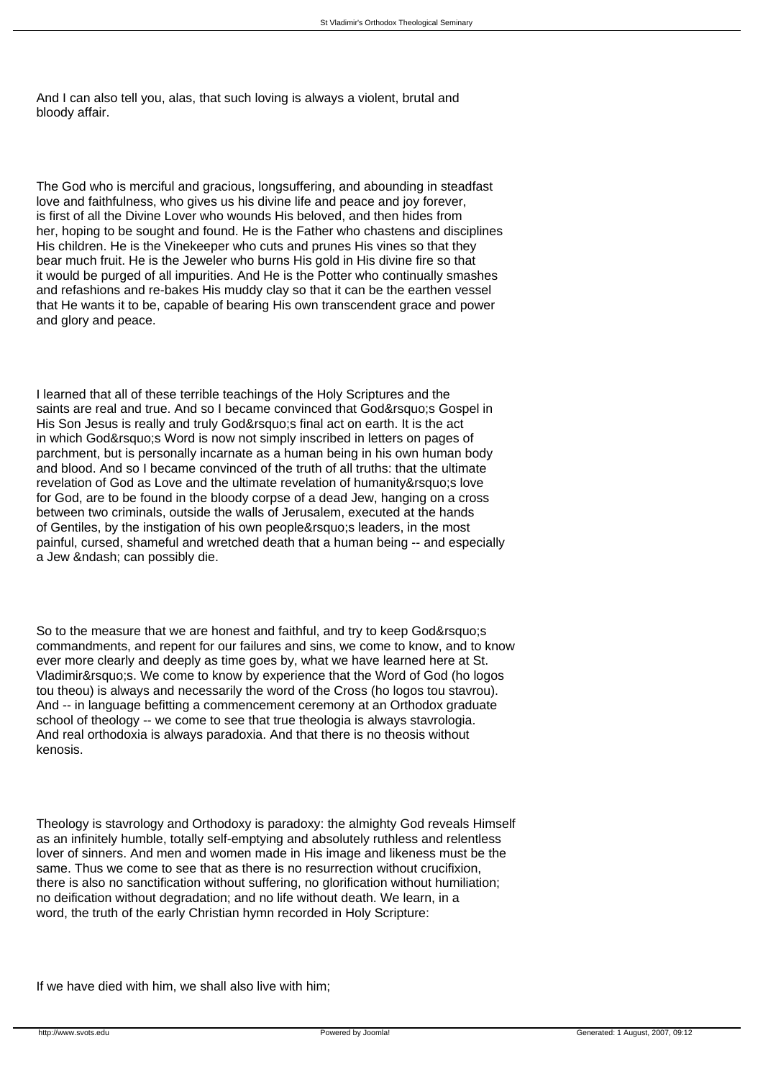And I can also tell you, alas, that such loving is always a violent, brutal and bloody affair.

The God who is merciful and gracious, longsuffering, and abounding in steadfast love and faithfulness, who gives us his divine life and peace and joy forever, is first of all the Divine Lover who wounds His beloved, and then hides from her, hoping to be sought and found. He is the Father who chastens and disciplines His children. He is the Vinekeeper who cuts and prunes His vines so that they bear much fruit. He is the Jeweler who burns His gold in His divine fire so that it would be purged of all impurities. And He is the Potter who continually smashes and refashions and re-bakes His muddy clay so that it can be the earthen vessel that He wants it to be, capable of bearing His own transcendent grace and power and glory and peace.

I learned that all of these terrible teachings of the Holy Scriptures and the saints are real and true. And so I became convinced that God&rsquo:s Gospel in His Son Jesus is really and truly God' sfinal act on earth. It is the act in which God' Word is now not simply inscribed in letters on pages of parchment, but is personally incarnate as a human being in his own human body and blood. And so I became convinced of the truth of all truths: that the ultimate revelation of God as Love and the ultimate revelation of humanity's love for God, are to be found in the bloody corpse of a dead Jew, hanging on a cross between two criminals, outside the walls of Jerusalem, executed at the hands of Gentiles, by the instigation of his own people's leaders, in the most painful, cursed, shameful and wretched death that a human being -- and especially a Jew & ndash: can possibly die.

So to the measure that we are honest and faithful, and try to keep God's commandments, and repent for our failures and sins, we come to know, and to know ever more clearly and deeply as time goes by, what we have learned here at St. Vladimir' s. We come to know by experience that the Word of God (ho logos tou theou) is always and necessarily the word of the Cross (ho logos tou stavrou). And -- in language befitting a commencement ceremony at an Orthodox graduate school of theology -- we come to see that true theologia is always stavrologia. And real orthodoxia is always paradoxia. And that there is no theosis without kenosis.

Theology is stavrology and Orthodoxy is paradoxy: the almighty God reveals Himself as an infinitely humble, totally self-emptying and absolutely ruthless and relentless lover of sinners. And men and women made in His image and likeness must be the same. Thus we come to see that as there is no resurrection without crucifixion, there is also no sanctification without suffering, no glorification without humiliation; no deification without degradation; and no life without death. We learn, in a word, the truth of the early Christian hymn recorded in Holy Scripture:

If we have died with him, we shall also live with him;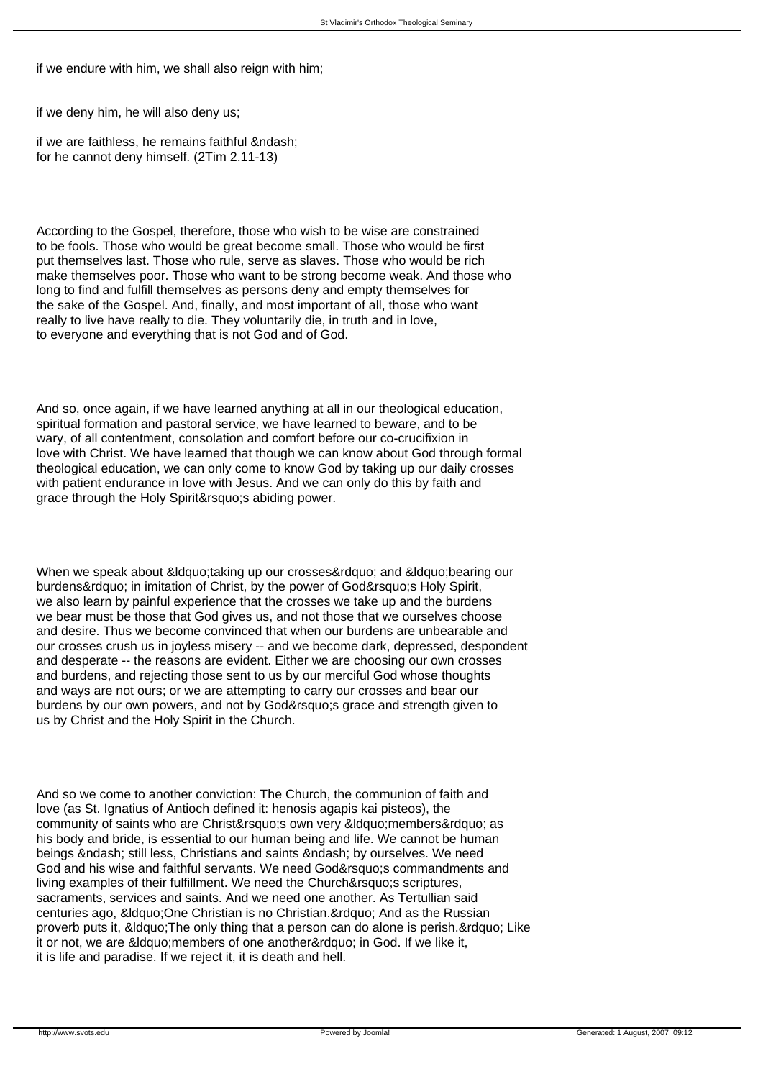if we endure with him, we shall also reign with him;

if we deny him, he will also deny us;

if we are faithless, he remains faithful – for he cannot deny himself. (2Tim 2.11-13)

According to the Gospel, therefore, those who wish to be wise are constrained to be fools. Those who would be great become small. Those who would be first put themselves last. Those who rule, serve as slaves. Those who would be rich make themselves poor. Those who want to be strong become weak. And those who long to find and fulfill themselves as persons deny and empty themselves for the sake of the Gospel. And, finally, and most important of all, those who want really to live have really to die. They voluntarily die, in truth and in love, to everyone and everything that is not God and of God.

And so, once again, if we have learned anything at all in our theological education, spiritual formation and pastoral service, we have learned to beware, and to be wary, of all contentment, consolation and comfort before our co-crucifixion in love with Christ. We have learned that though we can know about God through formal theological education, we can only come to know God by taking up our daily crosses with patient endurance in love with Jesus. And we can only do this by faith and grace through the Holy Spirit's abiding power.

When we speak about & ldquo: taking up our crosses & rdquo: and & ldquo: bearing our burdens&rdauo; in imitation of Christ, by the power of God' SHoly Spirit, we also learn by painful experience that the crosses we take up and the burdens we bear must be those that God gives us, and not those that we ourselves choose and desire. Thus we become convinced that when our burdens are unbearable and our crosses crush us in joyless misery -- and we become dark, depressed, despondent and desperate -- the reasons are evident. Either we are choosing our own crosses and burdens, and rejecting those sent to us by our merciful God whose thoughts and ways are not ours; or we are attempting to carry our crosses and bear our burdens by our own powers, and not by God' s grace and strength given to us by Christ and the Holy Spirit in the Church.

And so we come to another conviction: The Church, the communion of faith and love (as St. Ignatius of Antioch defined it: henosis agapis kai pisteos), the community of saints who are Christ&rsquo: s own very &ldquo: members&rdquo: as his body and bride, is essential to our human being and life. We cannot be human beings & ndash; still less, Christians and saints & ndash; by ourselves. We need God and his wise and faithful servants. We need God' scommandments and living examples of their fulfillment. We need the Church' s scriptures, sacraments, services and saints. And we need one another. As Tertullian said centuries ago, &Idquo; One Christian is no Christian. " And as the Russian proverb puts it, " The only thing that a person can do alone is perish. & rdquo; Like it or not, we are &ldguo; members of one another&rdguo; in God. If we like it, it is life and paradise. If we reject it, it is death and hell.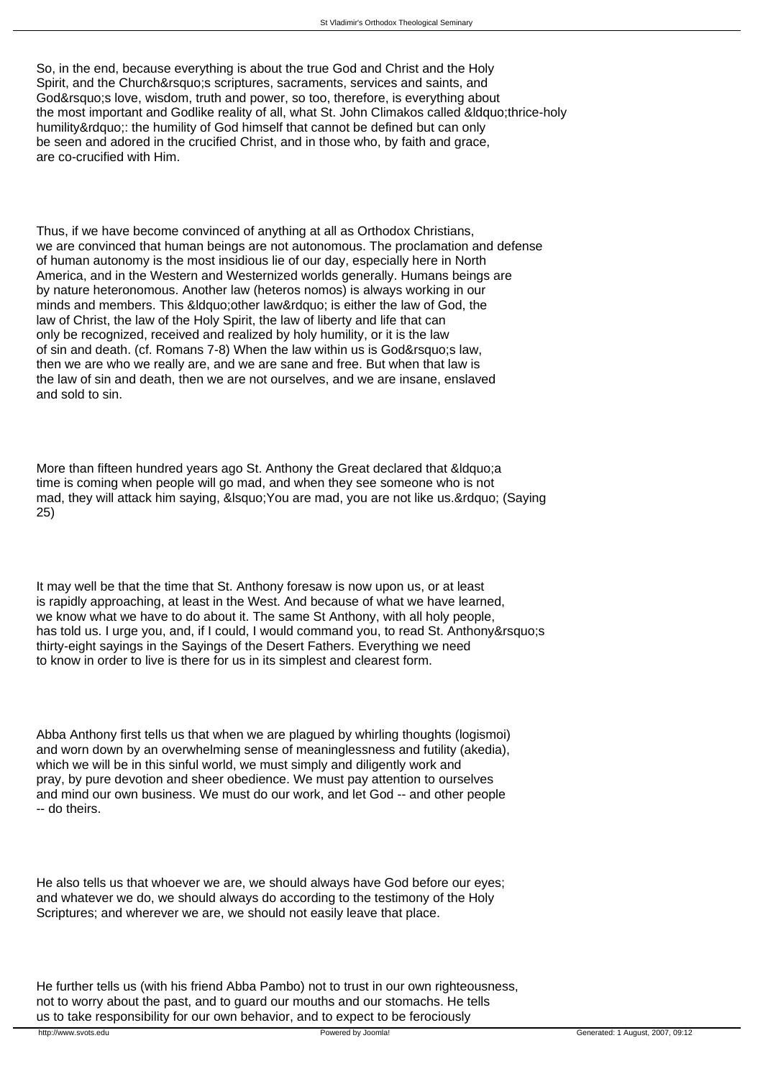So, in the end, because everything is about the true God and Christ and the Holy Spirit, and the Church&rsquo:s scriptures, sacraments, services and saints, and God&rsquo:s love, wisdom, truth and power, so too, therefore, is everything about the most important and Godlike reality of all, what St. John Climakos called &Idquo;thrice-holy humility": the humility of God himself that cannot be defined but can only be seen and adored in the crucified Christ, and in those who, by faith and grace, are co-crucified with Him.

Thus, if we have become convinced of anything at all as Orthodox Christians, we are convinced that human beings are not autonomous. The proclamation and defense of human autonomy is the most insidious lie of our day, especially here in North America, and in the Western and Westernized worlds generally. Humans beings are by nature heteronomous. Another law (heteros nomos) is always working in our minds and members. This &ldguo: other law&rdguo: is either the law of God, the law of Christ, the law of the Holy Spirit, the law of liberty and life that can only be recognized, received and realized by holy humility, or it is the law of sin and death. (cf. Romans 7-8) When the law within us is God' slaw, then we are who we really are, and we are sane and free. But when that law is the law of sin and death, then we are not ourselves, and we are insane, enslaved and sold to sin.

More than fifteen hundred years ago St. Anthony the Great declared that "a time is coming when people will go mad, and when they see someone who is not mad, they will attack him saying, ' You are mad, you are not like us. " (Saying 25)

It may well be that the time that St. Anthony foresaw is now upon us, or at least is rapidly approaching, at least in the West. And because of what we have learned, we know what we have to do about it. The same St Anthony, with all holy people, has told us. I urge you, and, if I could, I would command you, to read St. Anthony's thirty-eight sayings in the Sayings of the Desert Fathers. Everything we need to know in order to live is there for us in its simplest and clearest form.

Abba Anthony first tells us that when we are plagued by whirling thoughts (logismoi) and worn down by an overwhelming sense of meaninglessness and futility (akedia), which we will be in this sinful world, we must simply and diligently work and pray, by pure devotion and sheer obedience. We must pay attention to ourselves and mind our own business. We must do our work, and let God -- and other people -- do theirs.

He also tells us that whoever we are, we should always have God before our eyes; and whatever we do, we should always do according to the testimony of the Holy Scriptures; and wherever we are, we should not easily leave that place.

He further tells us (with his friend Abba Pambo) not to trust in our own righteousness, not to worry about the past, and to guard our mouths and our stomachs. He tells us to take responsibility for our own behavior, and to expect to be ferociously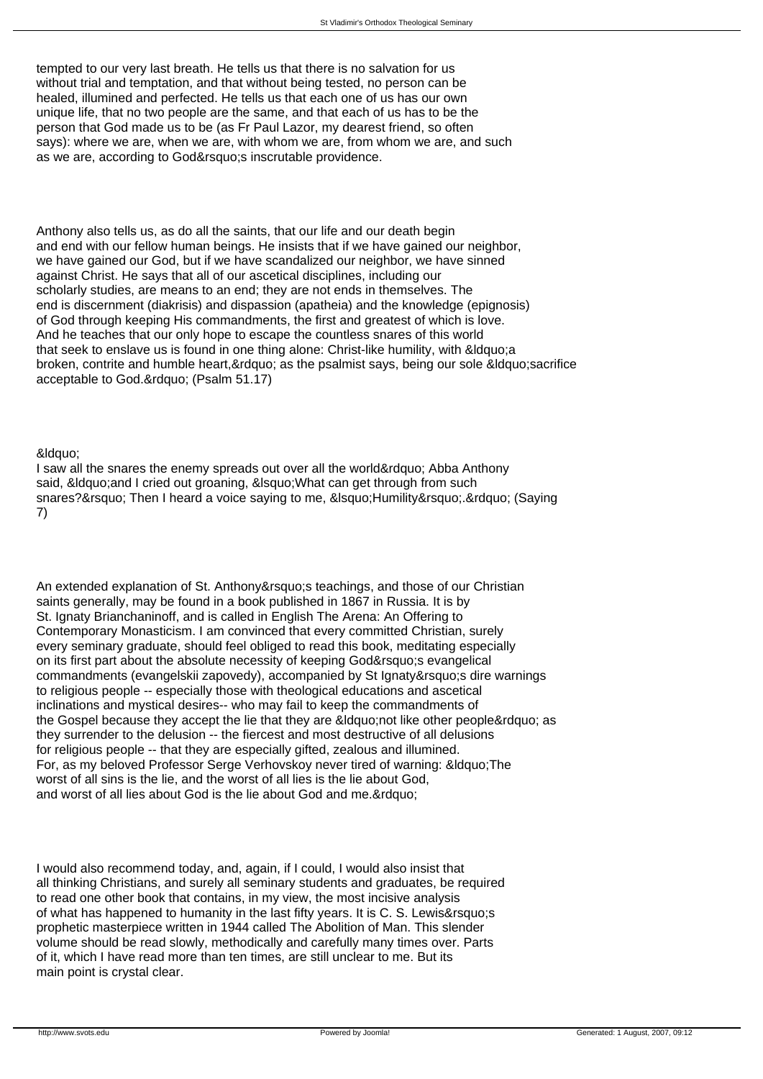tempted to our very last breath. He tells us that there is no salvation for us without trial and temptation, and that without being tested, no person can be healed, illumined and perfected. He tells us that each one of us has our own unique life, that no two people are the same, and that each of us has to be the person that God made us to be (as Fr Paul Lazor, my dearest friend, so often says): where we are, when we are, with whom we are, from whom we are, and such as we are, according to God' sinscrutable providence.

Anthony also tells us, as do all the saints, that our life and our death begin and end with our fellow human beings. He insists that if we have gained our neighbor, we have gained our God, but if we have scandalized our neighbor, we have sinned against Christ. He says that all of our ascetical disciplines, including our scholarly studies, are means to an end; they are not ends in themselves. The end is discernment (diakrisis) and dispassion (apatheia) and the knowledge (epignosis) of God through keeping His commandments, the first and greatest of which is love. And he teaches that our only hope to escape the countless snares of this world that seek to enslave us is found in one thing alone: Christ-like humility, with "a broken, contrite and humble heart, & rdquo; as the psalmist says, being our sole & Idquo; sacrifice acceptable to God." (Psalm 51.17)

&Idauo:

I saw all the snares the enemy spreads out over all the world" Abba Anthony said, &Idquo; and I cried out groaning, &Isquo; What can get through from such snares?' Then I heard a voice saying to me, &Isquo;Humility' " (Saying 7)

An extended explanation of St. Anthony&rsquo:s teachings, and those of our Christian saints generally, may be found in a book published in 1867 in Russia. It is by St. Ignaty Brianchaninoff, and is called in English The Arena: An Offering to Contemporary Monasticism. I am convinced that every committed Christian, surely every seminary graduate, should feel obliged to read this book, meditating especially on its first part about the absolute necessity of keeping God's evangelical commandments (evangelskii zapovedy), accompanied by St Ignaty's dire warnings to religious people -- especially those with theological educations and ascetical inclinations and mystical desires-- who may fail to keep the commandments of the Gospel because they accept the lie that they are &Idquo;not like other people" as they surrender to the delusion -- the fiercest and most destructive of all delusions for religious people -- that they are especially gifted, zealous and illumined. For, as my beloved Professor Serge Verhovskoy never tired of warning: &Idquo; The worst of all sins is the lie, and the worst of all lies is the lie about God, and worst of all lies about God is the lie about God and me. & rdquo;

I would also recommend today, and, again, if I could, I would also insist that all thinking Christians, and surely all seminary students and graduates, be required to read one other book that contains, in my view, the most incisive analysis of what has happened to humanity in the last fifty years. It is C. S. Lewis&rsquo:s prophetic masterpiece written in 1944 called The Abolition of Man. This slender volume should be read slowly, methodically and carefully many times over. Parts of it, which I have read more than ten times, are still unclear to me. But its main point is crystal clear.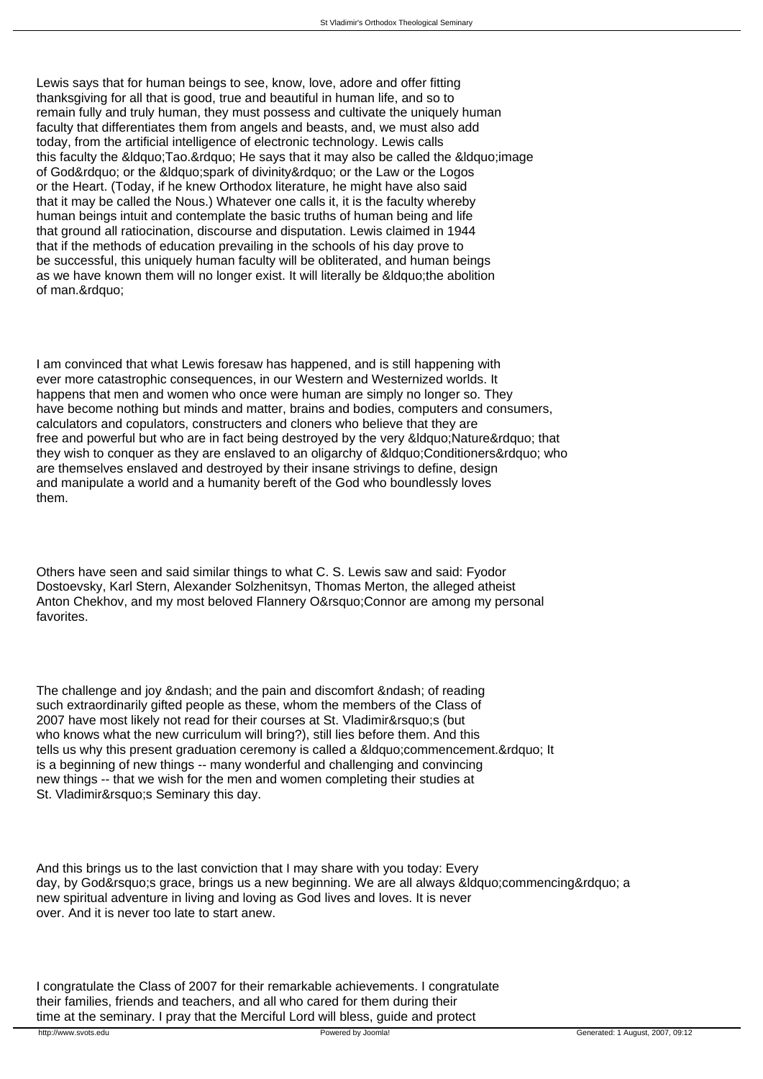Lewis says that for human beings to see, know, love, adore and offer fitting thanksgiving for all that is good, true and beautiful in human life, and so to remain fully and truly human, they must possess and cultivate the uniquely human faculty that differentiates them from angels and beasts, and, we must also add today, from the artificial intelligence of electronic technology. Lewis calls this faculty the " Tao. " He says that it may also be called the " image of God" or the " spark of divinity " or the Law or the Logos or the Heart. (Today, if he knew Orthodox literature, he might have also said that it may be called the Nous.) Whatever one calls it, it is the faculty whereby human beings intuit and contemplate the basic truths of human being and life that ground all ratiocination, discourse and disputation. Lewis claimed in 1944 that if the methods of education prevailing in the schools of his day prove to be successful, this uniquely human faculty will be obliterated, and human beings as we have known them will no longer exist. It will literally be " the abolition of man."

I am convinced that what Lewis foresaw has happened, and is still happening with ever more catastrophic consequences, in our Western and Westernized worlds. It happens that men and women who once were human are simply no longer so. They have become nothing but minds and matter, brains and bodies, computers and consumers, calculators and copulators, constructers and cloners who believe that they are free and powerful but who are in fact being destroyed by the very &ldguo; Nature & rdguo; that they wish to conquer as they are enslaved to an oligarchy of " Conditioners & rdquo; who are themselves enslaved and destroyed by their insane strivings to define, design and manipulate a world and a humanity bereft of the God who boundlessly loves them.

Others have seen and said similar things to what C. S. Lewis saw and said: Fyodor Dostoevsky, Karl Stern, Alexander Solzhenitsyn, Thomas Merton, the alleged atheist Anton Chekhov, and my most beloved Flannery O' Connor are among my personal favorites.

The challenge and joy &ndash: and the pain and discomfort &ndash: of reading such extraordinarily gifted people as these, whom the members of the Class of 2007 have most likely not read for their courses at St. Vladimir's (but who knows what the new curriculum will bring?), still lies before them. And this tells us why this present graduation ceremony is called a "commencement. " It is a beginning of new things -- many wonderful and challenging and convincing new things -- that we wish for the men and women completing their studies at St. Vladimir' Seminary this day.

And this brings us to the last conviction that I may share with you today: Every day, by God' s grace, brings us a new beginning. We are all always " commencing " a new spiritual adventure in living and loving as God lives and loves. It is never over. And it is never too late to start anew.

I congratulate the Class of 2007 for their remarkable achievements. I congratulate their families, friends and teachers, and all who cared for them during their time at the seminary. I pray that the Merciful Lord will bless, guide and protect